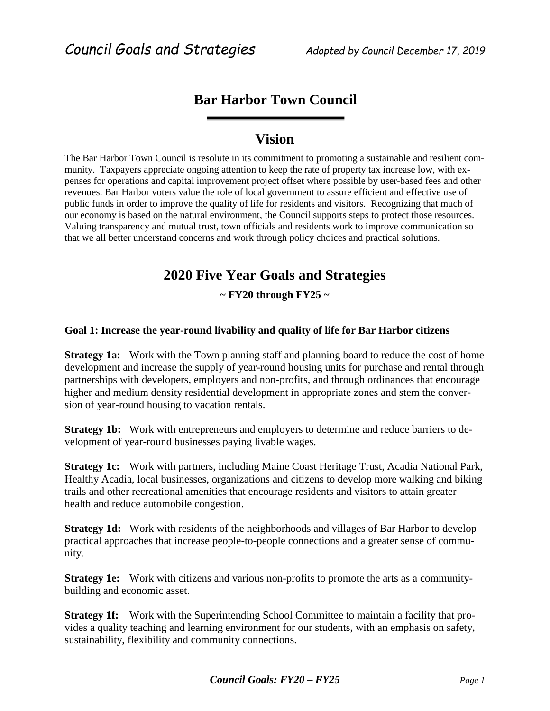### **Bar Harbor Town Council**

### **Vision**

The Bar Harbor Town Council is resolute in its commitment to promoting a sustainable and resilient community. Taxpayers appreciate ongoing attention to keep the rate of property tax increase low, with expenses for operations and capital improvement project offset where possible by user-based fees and other revenues. Bar Harbor voters value the role of local government to assure efficient and effective use of public funds in order to improve the quality of life for residents and visitors. Recognizing that much of our economy is based on the natural environment, the Council supports steps to protect those resources. Valuing transparency and mutual trust, town officials and residents work to improve communication so that we all better understand concerns and work through policy choices and practical solutions.

## **2020 Five Year Goals and Strategies**

**~ FY20 through FY25 ~**

#### **Goal 1: Increase the year-round livability and quality of life for Bar Harbor citizens**

**Strategy 1a:** Work with the Town planning staff and planning board to reduce the cost of home development and increase the supply of year-round housing units for purchase and rental through partnerships with developers, employers and non-profits, and through ordinances that encourage higher and medium density residential development in appropriate zones and stem the conversion of year-round housing to vacation rentals.

**Strategy 1b:** Work with entrepreneurs and employers to determine and reduce barriers to development of year-round businesses paying livable wages.

**Strategy 1c:** Work with partners, including Maine Coast Heritage Trust, Acadia National Park, Healthy Acadia, local businesses, organizations and citizens to develop more walking and biking trails and other recreational amenities that encourage residents and visitors to attain greater health and reduce automobile congestion.

**Strategy 1d:** Work with residents of the neighborhoods and villages of Bar Harbor to develop practical approaches that increase people-to-people connections and a greater sense of community.

**Strategy 1e:** Work with citizens and various non-profits to promote the arts as a communitybuilding and economic asset.

**Strategy 1f:** Work with the Superintending School Committee to maintain a facility that provides a quality teaching and learning environment for our students, with an emphasis on safety, sustainability, flexibility and community connections.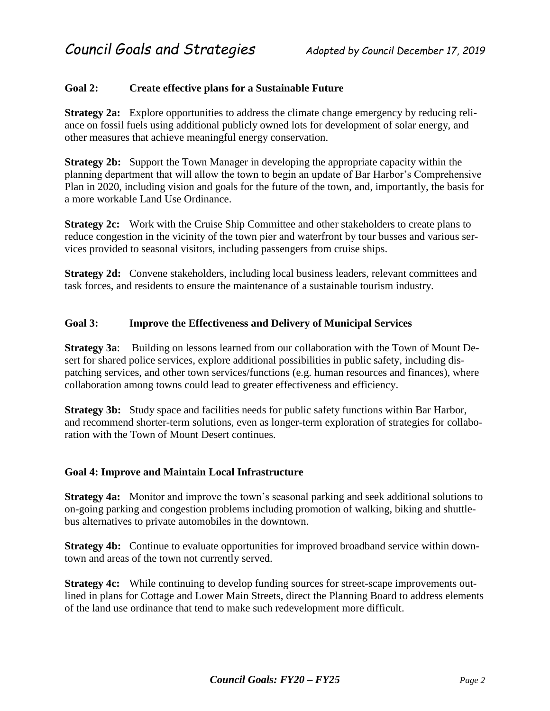#### **Goal 2: Create effective plans for a Sustainable Future**

**Strategy 2a:** Explore opportunities to address the climate change emergency by reducing reliance on fossil fuels using additional publicly owned lots for development of solar energy, and other measures that achieve meaningful energy conservation.

**Strategy 2b:** Support the Town Manager in developing the appropriate capacity within the planning department that will allow the town to begin an update of Bar Harbor's Comprehensive Plan in 2020, including vision and goals for the future of the town, and, importantly, the basis for a more workable Land Use Ordinance.

**Strategy 2c:** Work with the Cruise Ship Committee and other stakeholders to create plans to reduce congestion in the vicinity of the town pier and waterfront by tour busses and various services provided to seasonal visitors, including passengers from cruise ships.

**Strategy 2d:** Convene stakeholders, including local business leaders, relevant committees and task forces, and residents to ensure the maintenance of a sustainable tourism industry.

#### **Goal 3: Improve the Effectiveness and Delivery of Municipal Services**

**Strategy 3a**: Building on lessons learned from our collaboration with the Town of Mount Desert for shared police services, explore additional possibilities in public safety, including dispatching services, and other town services/functions (e.g. human resources and finances), where collaboration among towns could lead to greater effectiveness and efficiency.

**Strategy 3b:** Study space and facilities needs for public safety functions within Bar Harbor, and recommend shorter-term solutions, even as longer-term exploration of strategies for collaboration with the Town of Mount Desert continues.

#### **Goal 4: Improve and Maintain Local Infrastructure**

**Strategy 4a:** Monitor and improve the town's seasonal parking and seek additional solutions to on-going parking and congestion problems including promotion of walking, biking and shuttlebus alternatives to private automobiles in the downtown.

**Strategy 4b:** Continue to evaluate opportunities for improved broadband service within downtown and areas of the town not currently served.

**Strategy 4c:** While continuing to develop funding sources for street-scape improvements outlined in plans for Cottage and Lower Main Streets, direct the Planning Board to address elements of the land use ordinance that tend to make such redevelopment more difficult.